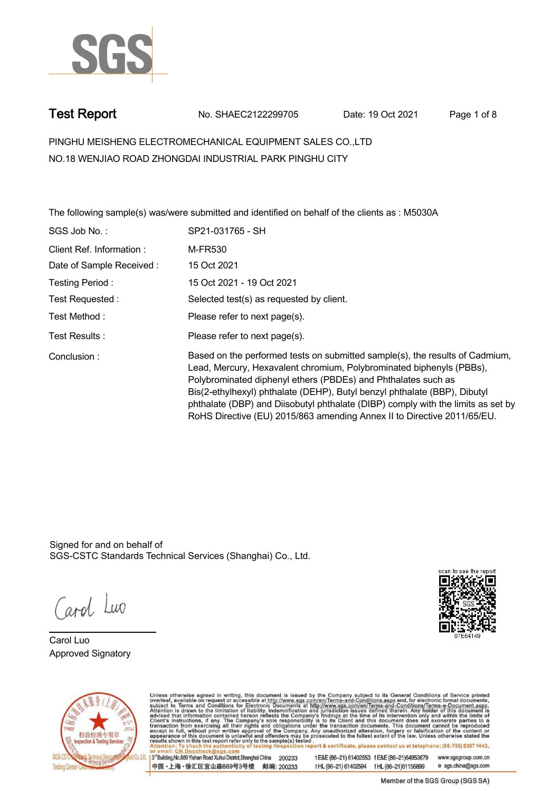

**Test Report. No. SHAEC2122299705 Date: 19 Oct 2021. Page 1 of 8.**

**PINGHU MEISHENG ELECTROMECHANICAL EQUIPMENT SALES CO.,LTD . NO.18 WENJIAO ROAD ZHONGDAI INDUSTRIAL PARK PINGHU CITY**

**The following sample(s) was/were submitted and identified on behalf of the clients as : M5030A .**

| SGS Job No.:             | SP21-031765 - SH                                                                                                                                                                                                                                                                                                                                                                                                                                                  |
|--------------------------|-------------------------------------------------------------------------------------------------------------------------------------------------------------------------------------------------------------------------------------------------------------------------------------------------------------------------------------------------------------------------------------------------------------------------------------------------------------------|
| Client Ref. Information: | M-FR530                                                                                                                                                                                                                                                                                                                                                                                                                                                           |
| Date of Sample Received: | 15 Oct 2021                                                                                                                                                                                                                                                                                                                                                                                                                                                       |
| Testing Period:          | 15 Oct 2021 - 19 Oct 2021                                                                                                                                                                                                                                                                                                                                                                                                                                         |
| Test Requested :         | Selected test(s) as requested by client.                                                                                                                                                                                                                                                                                                                                                                                                                          |
| Test Method :            | Please refer to next page(s).                                                                                                                                                                                                                                                                                                                                                                                                                                     |
| Test Results :           | Please refer to next page(s).                                                                                                                                                                                                                                                                                                                                                                                                                                     |
| Conclusion:              | Based on the performed tests on submitted sample(s), the results of Cadmium,<br>Lead, Mercury, Hexavalent chromium, Polybrominated biphenyls (PBBs),<br>Polybrominated diphenyl ethers (PBDEs) and Phthalates such as<br>Bis(2-ethylhexyl) phthalate (DEHP), Butyl benzyl phthalate (BBP), Dibutyl<br>phthalate (DBP) and Diisobutyl phthalate (DIBP) comply with the limits as set by<br>RoHS Directive (EU) 2015/863 amending Annex II to Directive 2011/65/EU. |

Signed for and on behalf of SGS-CSTC Standards Technical Services (Shanghai) Co., Ltd..

Carol Luo

**Carol Luo. Approved Signatory .**





Unless otherwise agreed in writing, this document is issued by the Company subject to its General Conditions of Service printed overleaf, available on request or accessible at http://www.sgs.com/en/Terms-and-Conditions.asp 13<sup>rd</sup> Building No.889 Yishan Road Xuhui District Shanghai China 200233

中国·上海·徐汇区宜山路889号3号楼 邮编: 200233

tE&E (86-21) 61402553 fE&E (86-21)64953679 www.sgsgroup.com.cn tHL (86-21) 61402594 fHL (86-21) 61156899 e sgs.china@sgs.com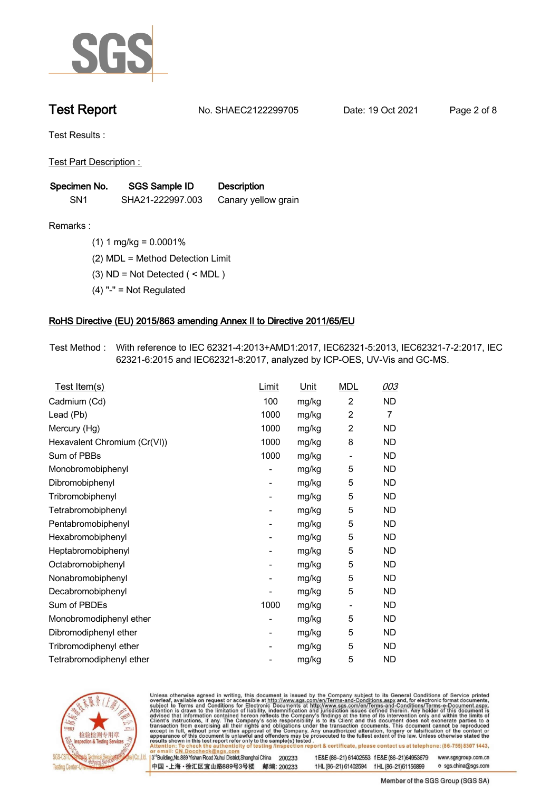

**Test Report. No. SHAEC2122299705 Date: 19 Oct 2021. Page 2 of 8.**

**Test Results :.**

**Test Part Description : .**

| Specimen No.    | SGS Sample ID    | <b>Description</b>  |  |
|-----------------|------------------|---------------------|--|
| SN <sub>1</sub> | SHA21-222997.003 | Canary yellow grain |  |

- **Remarks :.(1) 1 mg/kg = 0.0001% .**
	- **(2) MDL = Method Detection Limit .**
	- **(3) ND = Not Detected ( < MDL ) .**
	- **(4) "-" = Not Regulated .**

### **RoHS Directive (EU) 2015/863 amending Annex II to Directive 2011/65/EU.**

**Test Method :. With reference to IEC 62321-4:2013+AMD1:2017, IEC62321-5:2013, IEC62321-7-2:2017, IEC 62321-6:2015 and IEC62321-8:2017, analyzed by ICP-OES, UV-Vis and GC-MS. .**

| Test Item(s)                 | Limit | <b>Unit</b> | <b>MDL</b>     | 003            |
|------------------------------|-------|-------------|----------------|----------------|
| Cadmium (Cd)                 | 100   | mg/kg       | $\overline{2}$ | ND             |
| Lead (Pb)                    | 1000  | mg/kg       | $\overline{2}$ | $\overline{7}$ |
| Mercury (Hg)                 | 1000  | mg/kg       | 2              | ND             |
| Hexavalent Chromium (Cr(VI)) | 1000  | mg/kg       | 8              | <b>ND</b>      |
| Sum of PBBs                  | 1000  | mg/kg       | $\overline{a}$ | ND             |
| Monobromobiphenyl            |       | mg/kg       | 5              | ND.            |
| Dibromobiphenyl              | -     | mg/kg       | 5              | <b>ND</b>      |
| Tribromobiphenyl             |       | mg/kg       | 5              | <b>ND</b>      |
| Tetrabromobiphenyl           | -     | mg/kg       | 5              | <b>ND</b>      |
| Pentabromobiphenyl           |       | mg/kg       | 5              | <b>ND</b>      |
| Hexabromobiphenyl            | -     | mg/kg       | 5              | <b>ND</b>      |
| Heptabromobiphenyl           |       | mg/kg       | 5              | <b>ND</b>      |
| Octabromobiphenyl            |       | mg/kg       | 5              | ND             |
| Nonabromobiphenyl            |       | mg/kg       | 5              | ND             |
| Decabromobiphenyl            |       | mg/kg       | 5              | ND             |
| Sum of PBDEs                 | 1000  | mg/kg       | -              | <b>ND</b>      |
| Monobromodiphenyl ether      |       | mg/kg       | 5              | ND             |
| Dibromodiphenyl ether        |       | mg/kg       | 5              | ND             |
| Tribromodiphenyl ether       |       | mg/kg       | 5              | ND.            |
| Tetrabromodiphenyl ether     |       | mg/kg       | 5              | ND             |



Unless otherwise agreed in writing, this document is issued by the Company subject to its General Conditions of Service printed overleaf, available on request or accessible at http://www.sgs.com/en/Terms-and-Conditions.asp

3<sup>rd</sup> Building, No.889 Yishan Road Xuhui District, Shanghai China 200233 中国·上海·徐汇区宜山路889号3号楼 邮编: 200233 tE&E (86-21) 61402553 fE&E (86-21)64953679 www.sgsgroup.com.cn

t HL (86-21) 61402594 f HL (86-21) 61156899 e sgs.china@sgs.com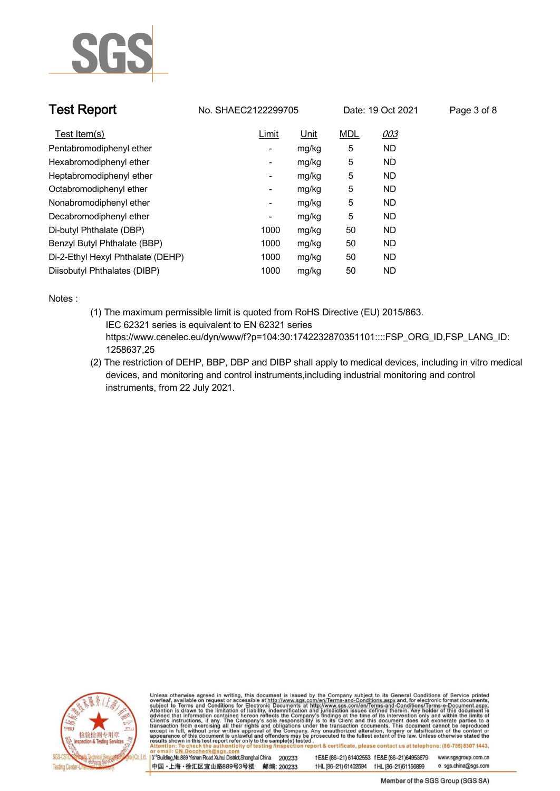

| <b>Test Report</b>                | No. SHAEC2122299705      |             | Date: 19 Oct 2021 |           | Page 3 of 8 |
|-----------------------------------|--------------------------|-------------|-------------------|-----------|-------------|
| Test Item(s)                      | <b>Limit</b>             | <u>Unit</u> | <b>MDL</b>        | 003       |             |
| Pentabromodiphenyl ether          | -                        | mg/kg       | 5                 | <b>ND</b> |             |
| Hexabromodiphenyl ether           | $\overline{\phantom{a}}$ | mg/kg       | 5                 | ND.       |             |
| Heptabromodiphenyl ether          | -                        | mg/kg       | 5                 | ND.       |             |
| Octabromodiphenyl ether           | -                        | mg/kg       | 5                 | <b>ND</b> |             |
| Nonabromodiphenyl ether           | $\overline{\phantom{a}}$ | mg/kg       | 5                 | <b>ND</b> |             |
| Decabromodiphenyl ether           | -                        | mg/kg       | 5                 | <b>ND</b> |             |
| Di-butyl Phthalate (DBP)          | 1000                     | mg/kg       | 50                | <b>ND</b> |             |
| Benzyl Butyl Phthalate (BBP)      | 1000                     | mg/kg       | 50                | ND.       |             |
| Di-2-Ethyl Hexyl Phthalate (DEHP) | 1000                     | mg/kg       | 50                | <b>ND</b> |             |
| Diisobutyl Phthalates (DIBP)      | 1000                     | mg/kg       | 50                | <b>ND</b> |             |

**Notes :.**

- **(1) The maximum permissible limit is quoted from RoHS Directive (EU) 2015/863. IEC 62321 series is equivalent to EN 62321 series https://www.cenelec.eu/dyn/www/f?p=104:30:1742232870351101::::FSP\_ORG\_ID,FSP\_LANG\_ID: 1258637,25**
- **(2) The restriction of DEHP, BBP, DBP and DIBP shall apply to medical devices, including in vitro medical devices, and monitoring and control instruments,including industrial monitoring and control instruments, from 22 July 2021. .**



Unless otherwise agreed in writing, this document is issued by the Company subject to its General Conditions of Service printed overleaf, available on request or accessible at http://www.sgs.com/en/Terms-and-Conditions.asp

3<sup>rd</sup>Building, No.889 Yishan Road Xuhui District, Shanghai China 200233 中国·上海·徐汇区宜山路889号3号楼 邮编: 200233 t E&E (86-21) 61402553 f E&E (86-21)64953679

www.sgsgroup.com.cn e sgs.china@sgs.com t HL (86-21) 61402594 f HL (86-21) 61156899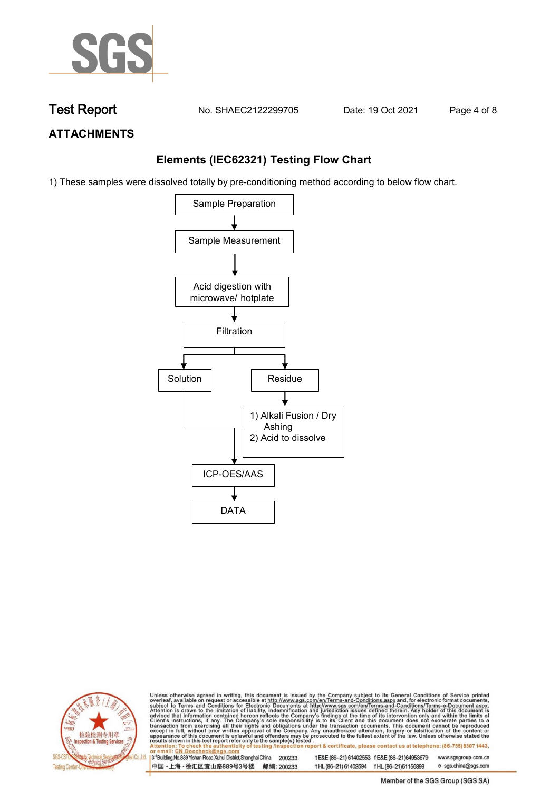

**Test Report. No. SHAEC2122299705 Date: 19 Oct 2021. Page 4 of 8.**

# **ATTACHMENTS**

## **Elements (IEC62321) Testing Flow Chart**

1) These samples were dissolved totally by pre-conditioning method according to below flow chart.





Unless otherwise agreed in writing, this document is issued by the Company subject to its General Conditions of Service printed overleaf, available on request or accessible at http://www.sgs.com/en/Terms-and-Conditions.asp

3<sup>rd</sup> Building, No.889 Yishan Road Xuhui District, Shanghai China 200233 中国·上海·徐汇区宜山路889号3号楼 邮编: 200233 tE&E (86-21) 61402553 fE&E (86-21)64953679 www.sgsgroup.com.cn e sgs.china@sgs.com t HL (86-21) 61402594 f HL (86-21) 61156899

Member of the SGS Group (SGS SA)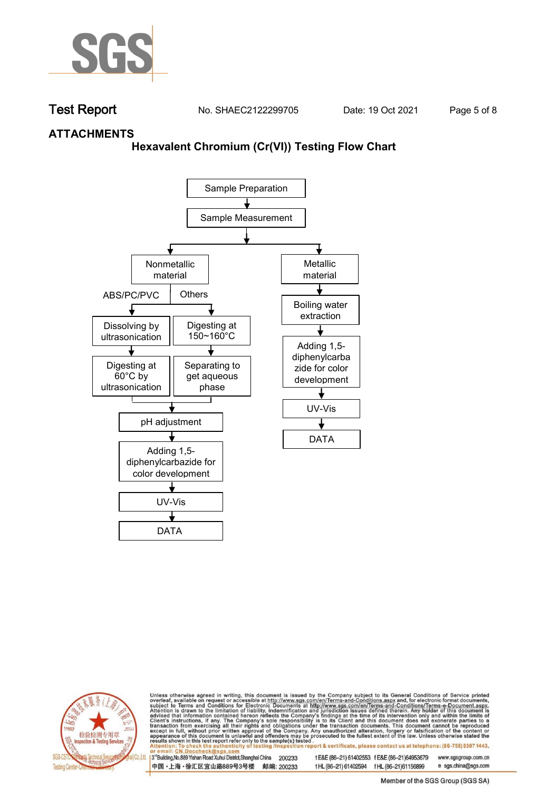

**Test Report. No. SHAEC2122299705 Date: 19 Oct 2021. Page 5 of 8.**

## **ATTACHMENTS**

### **Hexavalent Chromium (Cr(VI)) Testing Flow Chart**





Unless otherwise agreed in writing, this document is issued by the Company subject to its General Conditions of Service printed overleaf, available on request or accessible at http://www.sgs.com/en/Terms-and-Conditions.asp

3<sup>rd</sup> Building, No.889 Yishan Road Xuhui District, Shanghai China 200233 中国·上海·徐汇区宜山路889号3号楼 邮编: 200233 tE&E (86-21) 61402553 fE&E (86-21)64953679 www.sgsgroup.com.cn

t HL (86-21) 61402594 f HL (86-21) 61156899 e sgs.china@sgs.com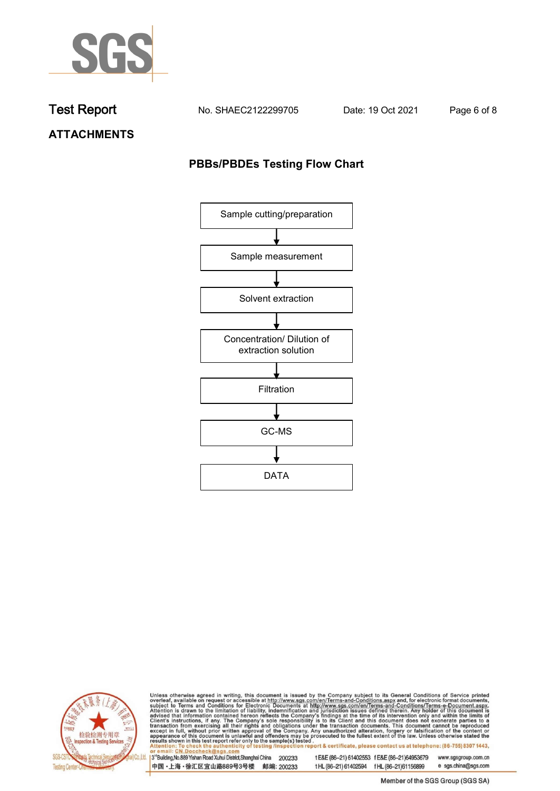

**Test Report. No. SHAEC2122299705 Date: 19 Oct 2021. Page 6 of 8.**

**ATTACHMENTS**

## **PBBs/PBDEs Testing Flow Chart**





Unless otherwise agreed in writing, this document is issued by the Company subject to its General Conditions of Service printed overleaf, available on request or accessible at http://www.sgs.com/en/Terms-and-Conditions.asp

3<sup>'</sup>Building, No.889 Yishan Road Xuhui District, Shanghai China 200233 中国·上海·徐汇区宜山路889号3号楼 邮编: 200233

tE&E (86-21) 61402553 fE&E (86-21)64953679 www.sgsgroup.com.cn

t HL (86-21) 61402594 f HL (86-21) 61156899 e sgs.china@sgs.com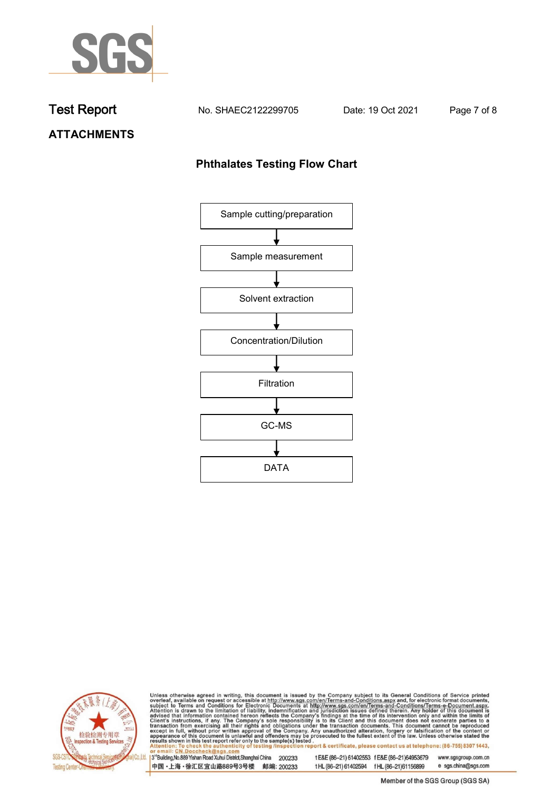

**Test Report. No. SHAEC2122299705 Date: 19 Oct 2021. Page 7 of 8.**

# **ATTACHMENTS**

## **Phthalates Testing Flow Chart**





Unless otherwise agreed in writing, this document is issued by the Company subject to its General Conditions of Service printed overleaf, available on request or accessible at http://www.sgs.com/en/Terms-and-Conditions.asp

3<sup>'</sup>Building, No.889 Yishan Road Xuhui District, Shanghai China 200233 中国·上海·徐汇区宜山路889号3号楼 邮编: 200233

tE&E (86-21) 61402553 fE&E (86-21)64953679 www.sgsgroup.com.cn

e sgs.china@sgs.com t HL (86-21) 61402594 f HL (86-21) 61156899